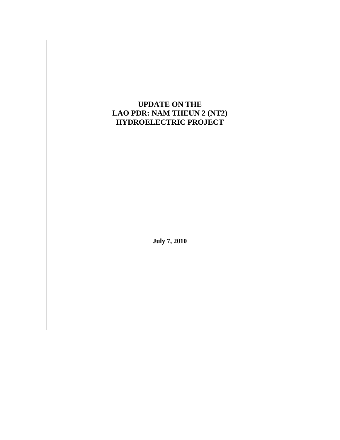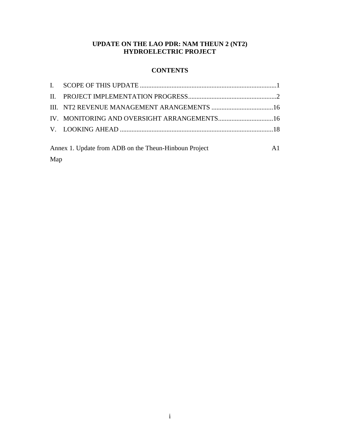#### **UPDATE ON THE LAO PDR: NAM THEUN 2 (NT2) HYDROELECTRIC PROJECT**

# **CONTENTS**

| A1<br>Annex 1. Update from ADB on the Theun-Hinboun Project |  |  |  |  |
|-------------------------------------------------------------|--|--|--|--|
| Map                                                         |  |  |  |  |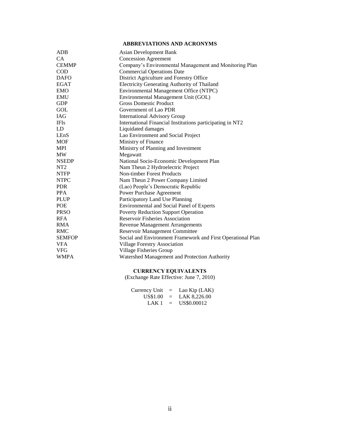# **ABBREVIATIONS AND ACRONYMS**

| <b>ADB</b>      | Asian Development Bank                                      |
|-----------------|-------------------------------------------------------------|
| CA.             | <b>Concession Agreement</b>                                 |
| <b>CEMMP</b>    | Company's Environmental Management and Monitoring Plan      |
| <b>COD</b>      | <b>Commercial Operations Date</b>                           |
| <b>DAFO</b>     | District Agriculture and Forestry Office                    |
| <b>EGAT</b>     | Electricity Generating Authority of Thailand                |
| <b>EMO</b>      | Environmental Management Office (NTPC)                      |
| <b>EMU</b>      | Environmental Management Unit (GOL)                         |
| <b>GDP</b>      | <b>Gross Domestic Product</b>                               |
| GOL             | Government of Lao PDR                                       |
| <b>IAG</b>      | <b>International Advisory Group</b>                         |
| <b>IFIs</b>     | International Financial Institutions participating in NT2   |
| LD.             | Liquidated damages                                          |
| LEnS            | Lao Environment and Social Project                          |
| MOF             | Ministry of Finance                                         |
| <b>MPI</b>      | Ministry of Planning and Investment                         |
| <b>MW</b>       | Megawatt                                                    |
| <b>NSEDP</b>    | National Socio-Economic Development Plan                    |
| NT <sub>2</sub> | Nam Theun 2 Hydroelectric Project                           |
| <b>NTFP</b>     | <b>Non-timber Forest Products</b>                           |
| <b>NTPC</b>     | Nam Theun 2 Power Company Limited                           |
| <b>PDR</b>      | (Lao) People's Democratic Republic                          |
| <b>PPA</b>      | <b>Power Purchase Agreement</b>                             |
| <b>PLUP</b>     | Participatory Land Use Planning                             |
| <b>POE</b>      | <b>Environmental and Social Panel of Experts</b>            |
| <b>PRSO</b>     | <b>Poverty Reduction Support Operation</b>                  |
| <b>RFA</b>      | <b>Reservoir Fisheries Association</b>                      |
| <b>RMA</b>      | <b>Revenue Management Arrangements</b>                      |
| <b>RMC</b>      | <b>Reservoir Management Committee</b>                       |
| <b>SEMFOP</b>   | Social and Environment Framework and First Operational Plan |
| <b>VFA</b>      | <b>Village Forestry Association</b>                         |
| <b>VFG</b>      | Village Fisheries Group                                     |
| <b>WMPA</b>     | Watershed Management and Protection Authority               |

#### **CURRENCY EQUIVALENTS**

(Exchange Rate Effective: June 7, 2010)

| Currency Unit | $=$      | Lao Kip (LAK) |
|---------------|----------|---------------|
| US\$1.00      | $=$      | LAK 8,226.00  |
| LAK 1         | $\equiv$ | US\$0.00012   |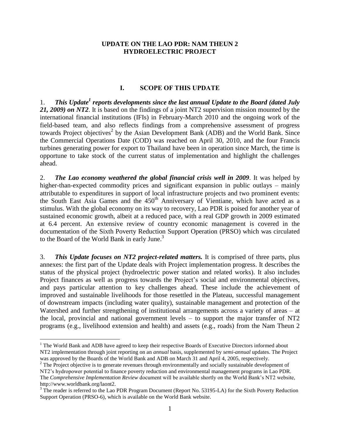#### **UPDATE ON THE LAO PDR: NAM THEUN 2 HYDROELECTRIC PROJECT**

#### **I. SCOPE OF THIS UPDATE**

<span id="page-3-0"></span>1. This Update<sup>1</sup> reports developments since the last annual Update to the Board (dated July *21, 2009) on NT2*. It is based on the findings of a joint NT2 supervision mission mounted by the international financial institutions (IFIs) in February-March 2010 and the ongoing work of the field-based team, and also reflects findings from a comprehensive assessment of progress towards Project objectives<sup>2</sup> by the Asian Development Bank (ADB) and the World Bank. Since the Commercial Operations Date (COD) was reached on April 30, 2010, and the four Francis turbines generating power for export to Thailand have been in operation since March, the time is opportune to take stock of the current status of implementation and highlight the challenges ahead.

2. *The Lao economy weathered the global financial crisis well in 2009*. It was helped by higher-than-expected commodity prices and significant expansion in public outlays – mainly attributable to expenditures in support of local infrastructure projects and two prominent events: the South East Asia Games and the 450<sup>th</sup> Anniversary of Vientiane, which have acted as a stimulus. With the global economy on its way to recovery, Lao PDR is poised for another year of sustained economic growth, albeit at a reduced pace, with a real GDP growth in 2009 estimated at 6.4 percent. An extensive review of country economic management is covered in the documentation of the Sixth Poverty Reduction Support Operation (PRSO) which was circulated to the Board of the World Bank in early June.<sup>3</sup>

3. *This Update focuses on NT2 project-related matters.* It is comprised of three parts, plus annexes: the first part of the Update deals with Project implementation progress. It describes the status of the physical project (hydroelectric power station and related works). It also includes Project finances as well as progress towards the Project's social and environmental objectives, and pays particular attention to key challenges ahead. These include the achievement of improved and sustainable livelihoods for those resettled in the Plateau, successful management of downstream impacts (including water quality), sustainable management and protection of the Watershed and further strengthening of institutional arrangements across a variety of areas – at the local, provincial and national government levels – to support the major transfer of NT2 programs (e.g., livelihood extension and health) and assets (e.g., roads) from the Nam Theun 2

 $\overline{a}$ 

<sup>&</sup>lt;sup>1</sup> The World Bank and ADB have agreed to keep their respective Boards of Executive Directors informed about NT2 implementation through joint reporting on an *annual* basis, supplemented by *semi-annual* updates. The Project was approved by the Boards of the World Bank and ADB on March 31 and April 4, 2005, respectively.

<sup>&</sup>lt;sup>2</sup> The Project objective is to generate revenues through environmentally and socially sustainable development of NT2's hydropower potential to finance poverty reduction and environmental management programs in Lao PDR. The *Comprehensive Implementation Review* document will be available shortly on the World Bank's NT2 website, http://www.worldbank.org/laont2.

<sup>&</sup>lt;sup>3</sup> The reader is referred to the Lao PDR Program Document (Report No. 53195-LA) for the Sixth Poverty Reduction Support Operation (PRSO-6), which is available on the World Bank website.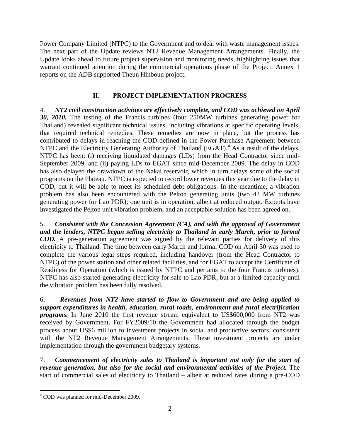Power Company Limited (NTPC) to the Government and to deal with waste management issues. The next part of the Update reviews NT2 Revenue Management Arrangements. Finally, the Update looks ahead to future project supervision and monitoring needs, highlighting issues that warrant continued attention during the commercial operations phase of the Project. Annex 1 reports on the ADB supported Theun Hinboun project.

# **II. PROJECT IMPLEMENTATION PROGRESS**

<span id="page-4-0"></span>4. *NT2 civil construction activities are effectively complete, and COD was achieved on April 30, 2010.* The testing of the Francis turbines (four 250MW turbines generating power for Thailand) revealed significant technical issues, including vibrations at specific operating levels, that required technical remedies. These remedies are now in place, but the process has contributed to delays in reaching the COD defined in the Power Purchase Agreement between NTPC and the Electricity Generating Authority of Thailand (EGAT). $4$  As a result of the delays, NTPC has been: (i) receiving liquidated damages (LDs) from the Head Contractor since mid-September 2009, and (ii) paying LDs to EGAT since mid-December 2009. The delay in COD has also delayed the drawdown of the Nakai reservoir, which in turn delays some of the social programs on the Plateau. NTPC is expected to record lower revenues this year due to the delay in COD, but it will be able to meet its scheduled debt obligations. In the meantime, a vibration problem has also been encountered with the Pelton generating units (two 42 MW turbines generating power for Lao PDR); one unit is in operation, albeit at reduced output. Experts have investigated the Pelton unit vibration problem, and an acceptable solution has been agreed on.

5. *Consistent with the Concession Agreement (CA), and with the approval of Government and the lenders, NTPC began selling electricity to Thailand in early March, prior to formal COD.* A pre-generation agreement was signed by the relevant parties for delivery of this electricity to Thailand. The time between early March and formal COD on April 30 was used to complete the various legal steps required, including handover (from the Head Contractor to NTPC) of the power station and other related facilities, and for EGAT to accept the Certificate of Readiness for Operation (which is issued by NTPC and pertains to the four Francis turbines). NTPC has also started generating electricity for sale to Lao PDR, but at a limited capacity until the vibration problem has been fully resolved.

6. *Revenues from NT2 have started to flow to Government and are being applied to support expenditures in health, education, rural roads, environment and rural electrification programs.* In June 2010 the first revenue stream equivalent to US\$600,000 from NT2 was received by Government. For FY2009/10 the Government had allocated through the budget process about US\$6 million to investment projects in social and productive sectors, consistent with the NT2 Revenue Management Arrangements. These investment projects are under implementation through the government budgetary systems.

7. *Commencement of electricity sales to Thailand is important not only for the start of revenue generation, but also for the social and environmental activities of the Project.* The start of commercial sales of electricity to Thailand – albeit at reduced rates during a pre-COD

 $\overline{a}$ 

<sup>4</sup> COD was planned for mid-December 2009.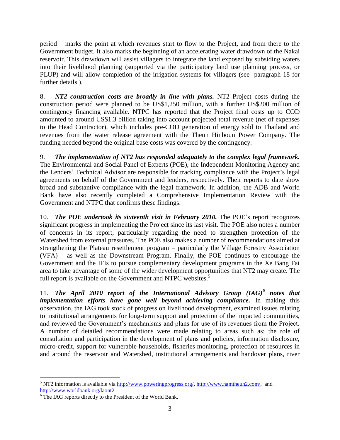period – marks the point at which revenues start to flow to the Project, and from there to the Government budget. It also marks the beginning of an accelerating water drawdown of the Nakai reservoir. This drawdown will assist villagers to integrate the land exposed by subsiding waters into their livelihood planning (supported via the participatory land use planning process, or PLUP) and will allow completion of the irrigation systems for villagers (see paragraph 18 for further details ).

8. *NT2 construction costs are broadly in line with plans.* NT2 Project costs during the construction period were planned to be US\$1,250 million, with a further US\$200 million of contingency financing available. NTPC has reported that the Project final costs up to COD amounted to around US\$1.3 billion taking into account projected total revenue (net of expenses to the Head Contractor), which includes pre-COD generation of energy sold to Thailand and revenues from the water release agreement with the Theun Hinboun Power Company. The funding needed beyond the original base costs was covered by the contingency.

9. *The implementation of NT2 has responded adequately to the complex legal framework.* The Environmental and Social Panel of Experts (POE), the Independent Monitoring Agency and the Lenders' Technical Advisor are responsible for tracking compliance with the Project's legal agreements on behalf of the Government and lenders, respectively. Their reports to date show broad and substantive compliance with the legal framework. In addition, the ADB and World Bank have also recently completed a Comprehensive Implementation Review with the Government and NTPC that confirms these findings.

10. *The POE undertook its sixteenth visit in February 2010.* The POE's report recognizes significant progress in implementing the Project since its last visit. The POE also notes a number of concerns in its report, particularly regarding the need to strengthen protection of the Watershed from external pressures. The POE also makes a number of recommendations aimed at strengthening the Plateau resettlement program – particularly the Village Forestry Association (VFA) – as well as the Downstream Program. Finally, the POE continues to encourage the Government and the IFIs to pursue complementary development programs in the Xe Bang Fai area to take advantage of some of the wider development opportunities that NT2 may create. The full report is available on the Government and NTPC websites.<sup>5</sup>

11. *The April 2010 report of the International Advisory Group (IAG)<sup>6</sup> notes that implementation efforts have gone well beyond achieving compliance.* In making this observation, the IAG took stock of progress on livelihood development, examined issues relating to institutional arrangements for long-term support and protection of the impacted communities, and reviewed the Government's mechanisms and plans for use of its revenues from the Project. A number of detailed recommendations were made relating to areas such as: the role of consultation and participation in the development of plans and policies, information disclosure, micro-credit, support for vulnerable households, fisheries monitoring, protection of resources in and around the reservoir and Watershed, institutional arrangements and handover plans, river

 $\overline{a}$ <sup>5</sup> NT2 information is available via [http://www.poweringprogress.org/,](http://www.poweringprogress.org/) [http://www.namtheun2.com/,](http://www.namtheun2.com/) and <http://www.worldbank.org/laont2>

<sup>&</sup>lt;sup>6</sup> The IAG reports directly to the President of the World Bank.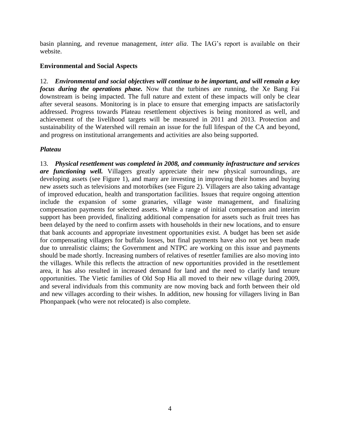basin planning, and revenue management, *inter alia*. The IAG's report is available on their website.

## **Environmental and Social Aspects**

12. *Environmental and social objectives will continue to be important, and will remain a key focus during the operations phase.* Now that the turbines are running, the Xe Bang Fai downstream is being impacted. The full nature and extent of these impacts will only be clear after several seasons. Monitoring is in place to ensure that emerging impacts are satisfactorily addressed. Progress towards Plateau resettlement objectives is being monitored as well, and achievement of the livelihood targets will be measured in 2011 and 2013. Protection and sustainability of the Watershed will remain an issue for the full lifespan of the CA and beyond, and progress on institutional arrangements and activities are also being supported.

## *Plateau*

13. *Physical resettlement was completed in 2008, and community infrastructure and services are functioning well.* Villagers greatly appreciate their new physical surroundings, are developing assets (see Figure 1), and many are investing in improving their homes and buying new assets such as televisions and motorbikes (see Figure 2). Villagers are also taking advantage of improved education, health and transportation facilities. Issues that require ongoing attention include the expansion of some granaries, village waste management, and finalizing compensation payments for selected assets. While a range of initial compensation and interim support has been provided, finalizing additional compensation for assets such as fruit trees has been delayed by the need to confirm assets with households in their new locations, and to ensure that bank accounts and appropriate investment opportunities exist. A budget has been set aside for compensating villagers for buffalo losses, but final payments have also not yet been made due to unrealistic claims; the Government and NTPC are working on this issue and payments should be made shortly. Increasing numbers of relatives of resettler families are also moving into the villages. While this reflects the attraction of new opportunities provided in the resettlement area, it has also resulted in increased demand for land and the need to clarify land tenure opportunities. The Vietic families of Old Sop Hia all moved to their new village during 2009, and several individuals from this community are now moving back and forth between their old and new villages according to their wishes. In addition, new housing for villagers living in Ban Phonpanpaek (who were not relocated) is also complete.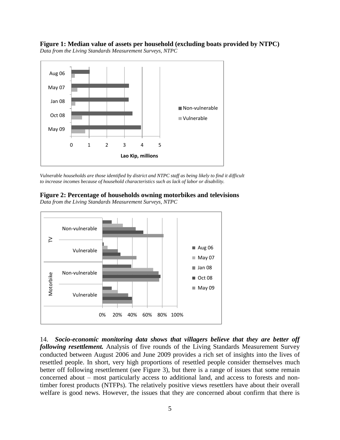**Figure 1: Median value of assets per household (excluding boats provided by NTPC)** *Data from the Living Standards Measurement Surveys, NTPC*



*Vulnerable households are those identified by district and NTPC staff as being likely to find it difficult to increase incomes because of household characteristics such as lack of labor or disability.*



*Data from the Living Standards Measurement Surveys, NTPC*



14. *Socio-economic monitoring data shows that villagers believe that they are better off following resettlement.* Analysis of five rounds of the Living Standards Measurement Survey conducted between August 2006 and June 2009 provides a rich set of insights into the lives of resettled people. In short, very high proportions of resettled people consider themselves much better off following resettlement (see [Figure](#page-8-0) 3), but there is a range of issues that some remain concerned about – most particularly access to additional land, and access to forests and nontimber forest products (NTFPs). The relatively positive views resettlers have about their overall welfare is good news. However, the issues that they are concerned about confirm that there is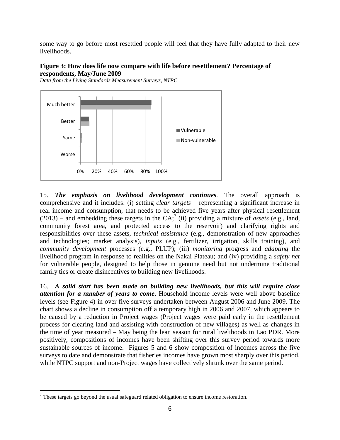some way to go before most resettled people will feel that they have fully adapted to their new livelihoods.

## <span id="page-8-0"></span>**Figure 3: How does life now compare with life before resettlement? Percentage of respondents, May/June 2009**





15. *The emphasis on livelihood development continues.* The overall approach is comprehensive and it includes: (i) setting *clear targets –* representing a significant increase in real income and consumption, that needs to be achieved five years after physical resettlement  $(2013)$  – and embedding these targets in the CA;<sup>7</sup> (ii) providing a mixture of *assets* (e.g., land, community forest area, and protected access to the reservoir) and clarifying rights and responsibilities over these assets, *technical assistance* (e.g., demonstration of new approaches and technologies; market analysis), *inputs* (e.g., fertilizer, irrigation, skills training), and *community development* processes (e.g., PLUP); (iii) *monitoring* progress and *adapting* the livelihood program in response to realities on the Nakai Plateau; and (iv) providing a *safety net* for vulnerable people, designed to help those in genuine need but not undermine traditional family ties or create disincentives to building new livelihoods.

16. *A solid start has been made on building new livelihoods, but this will require close attention for a number of years to come*. Household income levels were well above baseline levels (see Figure 4) in over five surveys undertaken between August 2006 and June 2009. The chart shows a decline in consumption off a temporary high in 2006 and 2007, which appears to be caused by a reduction in Project wages (Project wages were paid early in the resettlement process for clearing land and assisting with construction of new villages) as well as changes in the time of year measured – May being the lean season for rural livelihoods in Lao PDR. More positively, compositions of incomes have been shifting over this survey period towards more sustainable sources of income. Figures 5 and 6 show composition of incomes across the five surveys to date and demonstrate that fisheries incomes have grown most sharply over this period, while NTPC support and non-Project wages have collectively shrunk over the same period.

 $\overline{a}$ 

 $<sup>7</sup>$  These targets go beyond the usual safeguard related obligation to ensure income restoration.</sup>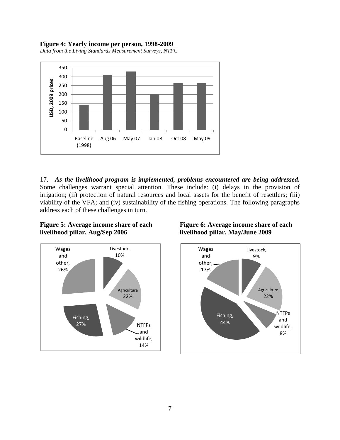#### **Figure 4: Yearly income per person, 1998-2009**

*Data from the Living Standards Measurement Surveys, NTPC*



17. *As the livelihood program is implemented, problems encountered are being addressed.*  Some challenges warrant special attention. These include: (i) delays in the provision of irrigation; (ii) protection of natural resources and local assets for the benefit of resettlers; (iii) viability of the VFA; and (iv) sustainability of the fishing operations. The following paragraphs address each of these challenges in turn.

## **Figure 5: Average income share of each livelihood pillar, Aug/Sep 2006**



## **Figure 6: Average income share of each livelihood pillar, May/June 2009**

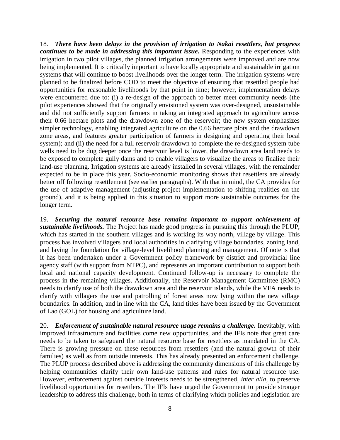18. *There have been delays in the provision of irrigation to Nakai resettlers, but progress continues to be made in addressing this important issue.* Responding to the experiences with irrigation in two pilot villages, the planned irrigation arrangements were improved and are now being implemented. It is critically important to have locally appropriate and sustainable irrigation systems that will continue to boost livelihoods over the longer term. The irrigation systems were planned to be finalized before COD to meet the objective of ensuring that resettled people had opportunities for reasonable livelihoods by that point in time; however, implementation delays were encountered due to: (i) a re-design of the approach to better meet community needs (the pilot experiences showed that the originally envisioned system was over-designed, unsustainable and did not sufficiently support farmers in taking an integrated approach to agriculture across their 0.66 hectare plots and the drawdown zone of the reservoir; the new system emphasizes simpler technology, enabling integrated agriculture on the 0.66 hectare plots and the drawdown zone areas, and features greater participation of farmers in designing and operating their local system); and (ii) the need for a full reservoir drawdown to complete the re-designed system tube wells need to be dug deeper once the reservoir level is lower, the drawdown area land needs to be exposed to complete gully dams and to enable villagers to visualize the areas to finalize their land-use planning. Irrigation systems are already installed in several villages, with the remainder expected to be in place this year. Socio-economic monitoring shows that resettlers are already better off following resettlement (see earlier paragraphs). With that in mind, the CA provides for the use of adaptive management (adjusting project implementation to shifting realities on the ground), and it is being applied in this situation to support more sustainable outcomes for the longer term.

19. *Securing the natural resource base remains important to support achievement of sustainable livelihoods.* The Project has made good progress in pursuing this through the PLUP, which has started in the southern villages and is working its way north, village by village. This process has involved villagers and local authorities in clarifying village boundaries, zoning land, and laying the foundation for village-level livelihood planning and management. Of note is that it has been undertaken under a Government policy framework by district and provincial line agency staff (with support from NTPC), and represents an important contribution to support both local and national capacity development. Continued follow-up is necessary to complete the process in the remaining villages. Additionally, the Reservoir Management Committee (RMC) needs to clarify use of both the drawdown area and the reservoir islands, while the VFA needs to clarify with villagers the use and patrolling of forest areas now lying within the new village boundaries. In addition, and in line with the CA, land titles have been issued by the Government of Lao (GOL) for housing and agriculture land.

20. *Enforcement of sustainable natural resource usage remains a challenge.* Inevitably, with improved infrastructure and facilities come new opportunities, and the IFIs note that great care needs to be taken to safeguard the natural resource base for resettlers as mandated in the CA. There is growing pressure on these resources from resettlers (and the natural growth of their families) as well as from outside interests. This has already presented an enforcement challenge. The PLUP process described above is addressing the community dimensions of this challenge by helping communities clarify their own land-use patterns and rules for natural resource use. However, enforcement against outside interests needs to be strengthened, *inter alia*, to preserve livelihood opportunities for resettlers. The IFIs have urged the Government to provide stronger leadership to address this challenge, both in terms of clarifying which policies and legislation are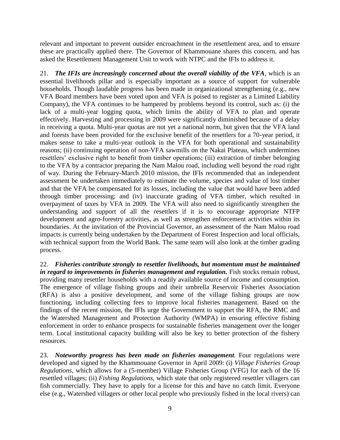relevant and important to prevent outsider encroachment in the resettlement area, and to ensure these are practically applied there. The Governor of Khammouane shares this concern, and has asked the Resettlement Management Unit to work with NTPC and the IFIs to address it.

21. *The IFIs are increasingly concerned about the overall viability of the VFA*, which is an essential livelihoods pillar and is especially important as a source of support for vulnerable households. Though laudable progress has been made in organizational strengthening (e.g., new VFA Board members have been voted upon and VFA is poised to register as a Limited Liability Company), the VFA continues to be hampered by problems beyond its control, such as: (i) the lack of a multi-year logging quota, which limits the ability of VFA to plan and operate effectively. Harvesting and processing in 2009 were significantly diminished because of a delay in receiving a quota. Multi-year quotas are not yet a national norm, but given that the VFA land and forests have been provided for the exclusive benefit of the resettlers for a 70-year period, it makes sense to take a multi-year outlook in the VFA for both operational and sustainability reasons; (ii) continuing operation of non-VFA sawmills on the Nakai Plateau, which undermines resettlers' exclusive right to benefit from timber operations; (iii) extraction of timber belonging to the VFA by a contractor preparing the Nam Malou road, including well beyond the road right of way. During the February-March 2010 mission, the IFIs recommended that an independent assessment be undertaken immediately to estimate the volume, species and value of lost timber and that the VFA be compensated for its losses, including the value that would have been added through timber processing; and (iv) inaccurate grading of VFA timber, which resulted in overpayment of taxes by VFA in 2009. The VFA will also need to significantly strengthen the understanding and support of all the resettlers if it is to encourage appropriate NTFP development and agro-forestry activities, as well as strengthen enforcement activities within its boundaries. At the invitation of the Provincial Governor, an assessment of the Nam Malou road impacts is currently being undertaken by the Department of Forest Inspection and local officials, with technical support from the World Bank. The same team will also look at the timber grading process.

22. *Fisheries contribute strongly to resettler livelihoods, but momentum must be maintained*  in regard to *improvements in fisheries management and regulation*. Fish stocks remain robust, providing many resettler households with a readily available source of income and consumption. The emergence of village fishing groups and their umbrella Reservoir Fisheries Association (RFA) is also a positive development, and some of the village fishing groups are now functioning, including collecting fees to improve local fisheries management. Based on the findings of the recent mission, the IFIs urge the Government to support the RFA, the RMC and the Watershed Management and Protection Authority (WMPA) in ensuring effective fishing enforcement in order to enhance prospects for sustainable fisheries management over the longer term. Local institutional capacity building will also be key to better protection of the fishery resources.

23. *Noteworthy progress has been made on fisheries management*. Four regulations were developed and signed by the Khammouane Governor in April 2009: (i) *Village Fisheries Group Regulations*, which allows for a (5-member) Village Fisheries Group (VFG) for each of the 16 resettled villages; (ii) *Fishing Regulations,* which state that only registered resettler villagers can fish commercially. They have to apply for a license for this and have no catch limit. Everyone else (e.g., Watershed villagers or other local people who previously fished in the local rivers) can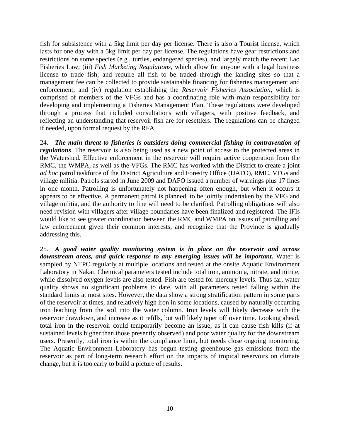fish for subsistence with a 5kg limit per day per license. There is also a Tourist license, which lasts for one day with a 5kg limit per day per license. The regulations have gear restrictions and restrictions on some species (e.g., turtles, endangered species), and largely match the recent Lao Fisheries Law; (iii) *Fish Marketing Regulations*, which allow for anyone with a legal business license to trade fish, and require all fish to be traded through the landing sites so that a management fee can be collected to provide sustainable financing for fisheries management and enforcement; and (iv) regulation establishing the *Reservoir Fisheries Association,* which is comprised of members of the VFGs and has a coordinating role with main responsibility for developing and implementing a Fisheries Management Plan. These regulations were developed through a process that included consultations with villagers, with positive feedback, and reflecting an understanding that reservoir fish are for resettlers. The regulations can be changed if needed, upon formal request by the RFA.

24. *The main threat to fisheries is outsiders doing commercial fishing in contravention of regulations*. The reservoir is also being used as a new point of access to the protected areas in the Watershed. Effective enforcement in the reservoir will require active cooperation from the RMC, the WMPA, as well as the VFGs. The RMC has worked with the District to create a joint *ad hoc* patrol taskforce of the District Agriculture and Forestry Office (DAFO), RMC, VFGs and village militia. Patrols started in June 2009 and DAFO issued a number of warnings plus 17 fines in one month. Patrolling is unfortunately not happening often enough, but when it occurs it appears to be effective. A permanent patrol is planned, to be jointly undertaken by the VFG and village militia, and the authority to fine will need to be clarified. Patrolling obligations will also need revision with villagers after village boundaries have been finalized and registered. The IFIs would like to see greater coordination between the RMC and WMPA on issues of patrolling and law enforcement given their common interests, and recognize that the Province is gradually addressing this.

25. *A good water quality monitoring system is in place on the reservoir and across*  downstream areas, and quick response to any emerging issues will be important. Water is sampled by NTPC regularly at multiple locations and tested at the onsite Aquatic Environment Laboratory in Nakai. Chemical parameters tested include total iron, ammonia, nitrate, and nitrite, while dissolved oxygen levels are also tested. Fish are tested for mercury levels. Thus far, water quality shows no significant problems to date, with all parameters tested falling within the standard limits at most sites. However, the data show a strong stratification pattern in some parts of the reservoir at times, and relatively high iron in some locations, caused by naturally occurring iron leaching from the soil into the water column. Iron levels will likely decrease with the reservoir drawdown, and increase as it refills, but will likely taper off over time. Looking ahead, total iron in the reservoir could temporarily become an issue, as it can cause fish kills (if at sustained levels higher than those presently observed) and poor water quality for the downstream users. Presently, total iron is within the compliance limit, but needs close ongoing monitoring. The Aquatic Environment Laboratory has begun testing greenhouse gas emissions from the reservoir as part of long-term research effort on the impacts of tropical reservoirs on climate change, but it is too early to build a picture of results.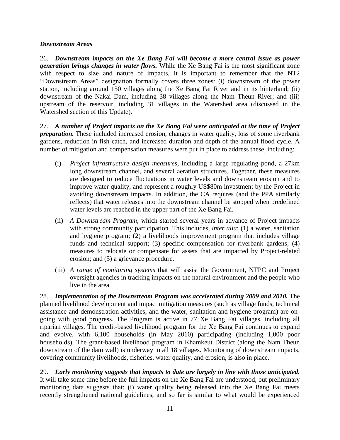#### *Downstream Areas*

26. *Downstream impacts on the Xe Bang Fai will become a more central issue as power generation brings changes in water flows.* While the Xe Bang Fai is the most significant zone with respect to size and nature of impacts, it is important to remember that the NT2 "Downstream Areas" designation formally covers three zones: (i) downstream of the power station, including around 150 villages along the Xe Bang Fai River and in its hinterland; (ii) downstream of the Nakai Dam, including 38 villages along the Nam Theun River; and (iii) upstream of the reservoir, including 31 villages in the Watershed area (discussed in the Watershed section of this Update).

27. *A number of Project impacts on the Xe Bang Fai were anticipated at the time of Project preparation.* These included increased erosion, changes in water quality, loss of some riverbank gardens, reduction in fish catch, and increased duration and depth of the annual flood cycle. A number of mitigation and compensation measures were put in place to address these, including:

- (i) *Project infrastructure design measures*, including a large regulating pond, a 27km long downstream channel, and several aeration structures. Together, these measures are designed to reduce fluctuations in water levels and downstream erosion and to improve water quality, and represent a roughly US\$80m investment by the Project in avoiding downstream impacts. In addition, the CA requires (and the PPA similarly reflects) that water releases into the downstream channel be stopped when predefined water levels are reached in the upper part of the Xe Bang Fai.
- (ii) *A Downstream Program*, which started several years in advance of Project impacts with strong community participation. This includes, *inter alia*: (1) a water, sanitation and hygiene program; (2) a livelihoods improvement program that includes village funds and technical support; (3) specific compensation for riverbank gardens; (4) measures to relocate or compensate for assets that are impacted by Project-related erosion; and (5) a grievance procedure.
- (iii) *A range of monitoring systems* that will assist the Government, NTPC and Project oversight agencies in tracking impacts on the natural environment and the people who live in the area.

28. *Implementation of the Downstream Program was accelerated during 2009 and 2010.* The planned livelihood development and impact mitigation measures (such as village funds, technical assistance and demonstration activities, and the water, sanitation and hygiene program) are ongoing with good progress. The Program is active in 77 Xe Bang Fai villages, including all riparian villages. The credit-based livelihood program for the Xe Bang Fai continues to expand and evolve, with 6,100 households (in May 2010) participating (including 1,000 poor households). The grant-based livelihood program in Khamkeut District (along the Nam Theun downstream of the dam wall) is underway in all 18 villages. Monitoring of downstream impacts, covering community livelihoods, fisheries, water quality, and erosion, is also in place.

29. *Early monitoring suggests that impacts to date are largely in line with those anticipated.* It will take some time before the full impacts on the Xe Bang Fai are understood, but preliminary monitoring data suggests that: (i) water quality being released into the Xe Bang Fai meets recently strengthened national guidelines, and so far is similar to what would be experienced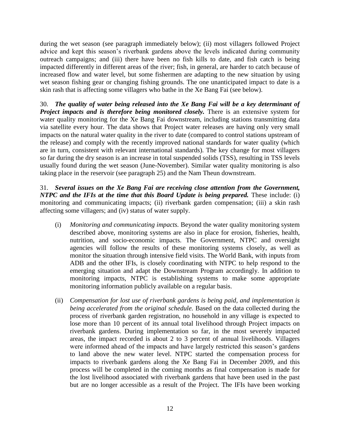during the wet season (see paragraph immediately below); (ii) most villagers followed Project advice and kept this season's riverbank gardens above the levels indicated during community outreach campaigns; and (iii) there have been no fish kills to date, and fish catch is being impacted differently in different areas of the river; fish, in general, are harder to catch because of increased flow and water level, but some fishermen are adapting to the new situation by using wet season fishing gear or changing fishing grounds. The one unanticipated impact to date is a skin rash that is affecting some villagers who bathe in the Xe Bang Fai (see below).

30. *The quality of water being released into the Xe Bang Fai will be a key determinant of Project impacts and is therefore being monitored closely.* There is an extensive system for water quality monitoring for the Xe Bang Fai downstream, including stations transmitting data via satellite every hour. The data shows that Project water releases are having only very small impacts on the natural water quality in the river to date (compared to control stations upstream of the release) and comply with the recently improved national standards for water quality (which are in turn, consistent with relevant international standards). The key change for most villagers so far during the dry season is an increase in total suspended solids (TSS), resulting in TSS levels usually found during the wet season (June-November). Similar water quality monitoring is also taking place in the reservoir (see paragraph 25) and the Nam Theun downstream.

31. *Several issues on the Xe Bang Fai are receiving close attention from the Government, NTPC and the IFIs at the time that this Board Update is being prepared.* These include: (i) monitoring and communicating impacts; (ii) riverbank garden compensation; (iii) a skin rash affecting some villagers; and (iv) status of water supply.

- (i) *Monitoring and communicating impacts.* Beyond the water quality monitoring system described above, monitoring systems are also in place for erosion, fisheries, health, nutrition, and socio-economic impacts. The Government, NTPC and oversight agencies will follow the results of these monitoring systems closely, as well as monitor the situation through intensive field visits. The World Bank, with inputs from ADB and the other IFIs, is closely coordinating with NTPC to help respond to the emerging situation and adapt the Downstream Program accordingly. In addition to monitoring impacts, NTPC is establishing systems to make some appropriate monitoring information publicly available on a regular basis.
- (ii) *Compensation for lost use of riverbank gardens is being paid, and implementation is being accelerated from the original schedule.* Based on the data collected during the process of riverbank garden registration, no household in any village is expected to lose more than 10 percent of its annual total livelihood through Project impacts on riverbank gardens. During implementation so far, in the most severely impacted areas, the impact recorded is about 2 to 3 percent of annual livelihoods. Villagers were informed ahead of the impacts and have largely restricted this season's gardens to land above the new water level. NTPC started the compensation process for impacts to riverbank gardens along the Xe Bang Fai in December 2009, and this process will be completed in the coming months as final compensation is made for the lost livelihood associated with riverbank gardens that have been used in the past but are no longer accessible as a result of the Project. The IFIs have been working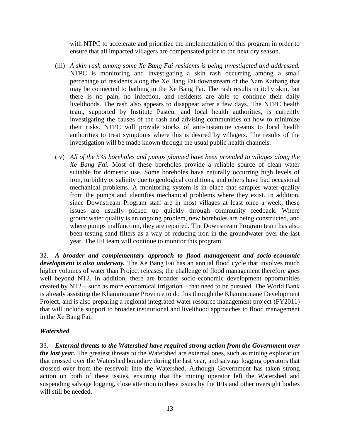with NTPC to accelerate and prioritize the implementation of this program in order to ensure that all impacted villagers are compensated prior to the next dry season.

- (iii) *A skin rash among some Xe Bang Fai residents is being investigated and addressed.* NTPC is monitoring and investigating a skin rash occurring among a small percentage of residents along the Xe Bang Fai downstream of the Nam Kathang that may be connected to bathing in the Xe Bang Fai. The rash results in itchy skin, but there is no pain, no infection, and residents are able to continue their daily livelihoods. The rash also appears to disappear after a few days. The NTPC health team, supported by Institute Pasteur and local health authorities, is currently investigating the causes of the rash and advising communities on how to minimize their risks. NTPC will provide stocks of anti-histamine creams to local health authorities to treat symptoms where this is desired by villagers. The results of the investigation will be made known through the usual public health channels.
- (iv) *All of the 535 boreholes and pumps planned have been provided to villages along the Xe Bang Fai.* Most of these boreholes provide a reliable source of clean water suitable for domestic use. Some boreholes have naturally occurring high levels of iron, turbidity or salinity due to geological conditions, and others have had occasional mechanical problems. A monitoring system is in place that samples water quality from the pumps and identifies mechanical problems where they exist. In addition, since Downstream Program staff are in most villages at least once a week, these issues are usually picked up quickly through community feedback. Where groundwater quality is an ongoing problem, new boreholes are being constructed, and where pumps malfunction, they are repaired. The Downstream Program team has also been testing sand filters as a way of reducing iron in the groundwater over the last year. The IFI team will continue to monitor this program.

32. *A broader and complementary approach to flood management and socio-economic development is also underway.* The Xe Bang Fai has an annual flood cycle that involves much higher volumes of water than Project releases; the challenge of flood management therefore goes well beyond NT2. In addition, there are broader socio-economic development opportunities created by NT2 – such as more economical irrigation – that need to be pursued. The World Bank is already assisting the Khammouane Province to do this through the Khammouane Development Project, and is also preparing a regional integrated water resource management project (FY2011) that will include support to broader institutional and livelihood approaches to flood management in the Xe Bang Fai.

#### *Watershed*

33. *External threats to the Watershed have required strong action from the Government over the last year.* The greatest threats to the Watershed are external ones, such as mining exploration that crossed over the Watershed boundary during the last year, and salvage logging operators that crossed over from the reservoir into the Watershed. Although Government has taken strong action on both of these issues, ensuring that the mining operator left the Watershed and suspending salvage logging, close attention to these issues by the IFIs and other oversight bodies will still be needed.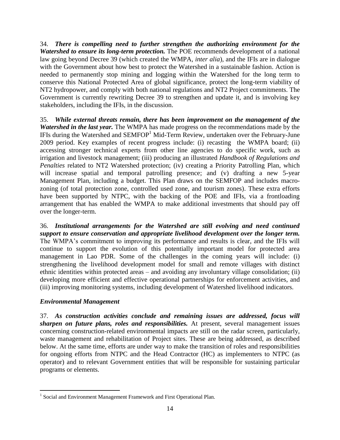34. *There is compelling need to further strengthen the authorizing environment for the Watershed to ensure its long-term protection.* The POE recommends development of a national law going beyond Decree 39 (which created the WMPA, *inter alia*), and the IFIs are in dialogue with the Government about how best to protect the Watershed in a sustainable fashion. Action is needed to permanently stop mining and logging within the Watershed for the long term to conserve this National Protected Area of global significance, protect the long-term viability of NT2 hydropower, and comply with both national regulations and NT2 Project commitments. The Government is currently rewriting Decree 39 to strengthen and update it, and is involving key stakeholders, including the IFIs, in the discussion.

35. *While external threats remain, there has been improvement on the management of the Watershed in the last year.* The WMPA has made progress on the recommendations made by the IFIs during the Watershed and  $SEMFOP<sup>1</sup>$  Mid-Term Review, undertaken over the February-June 2009 period. Key examples of recent progress include: (i) recasting the WMPA board; (ii) accessing stronger technical experts from other line agencies to do specific work, such as irrigation and livestock management; (iii) producing an illustrated *Handbook of Regulations and Penalties* related to NT2 Watershed protection; (iv) creating a Priority Patrolling Plan, which will increase spatial and temporal patrolling presence; and (v) drafting a new 5-year Management Plan, including a budget. This Plan draws on the SEMFOP and includes macrozoning (of total protection zone, controlled used zone, and tourism zones). These extra efforts have been supported by NTPC, with the backing of the POE and IFIs, via a frontloading arrangement that has enabled the WMPA to make additional investments that should pay off over the longer-term.

36. *Institutional arrangements for the Watershed are still evolving and need continued support to ensure conservation and appropriate livelihood development over the longer term.* The WMPA's commitment to improving its performance and results is clear, and the IFIs will continue to support the evolution of this potentially important model for protected area management in Lao PDR. Some of the challenges in the coming years will include: (i) strengthening the livelihood development model for small and remote villages with distinct ethnic identities within protected areas – and avoiding any involuntary village consolidation; (ii) developing more efficient and effective operational partnerships for enforcement activities, and (iii) improving monitoring systems, including development of Watershed livelihood indicators.

# *Environmental Management*

 $\overline{a}$ 

37. *As construction activities conclude and remaining issues are addressed, focus will sharpen on future plans, roles and responsibilities.* At present, several management issues concerning construction-related environmental impacts are still on the radar screen, particularly, waste management and rehabilitation of Project sites. These are being addressed, as described below. At the same time, efforts are under way to make the transition of roles and responsibilities for ongoing efforts from NTPC and the Head Contractor (HC) as implementers to NTPC (as operator) and to relevant Government entities that will be responsible for sustaining particular programs or elements.

<sup>&</sup>lt;sup>1</sup> Social and Environment Management Framework and First Operational Plan.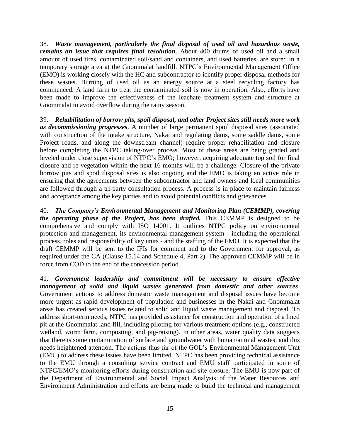38. *Waste management, particularly the final disposal of used oil and hazardous waste, remains an issue that requires final resolution*. About 400 drums of used oil and a small amount of used tires, contaminated soil/sand and containers, and used batteries, are stored in a temporary storage area at the Gnommalat landfill. NTPC's Environmental Management Office (EMO) is working closely with the HC and subcontractor to identify proper disposal methods for these wastes. Burning of used oil as an energy source at a steel recycling factory has commenced. A land farm to treat the contaminated soil is now in operation. Also, efforts have been made to improve the effectiveness of the leachate treatment system and structure at Gnommalat to avoid overflow during the rainy season.

39. *Rehabilitation of borrow pits, spoil disposal, and other Project sites still needs more work as decommissioning progresses*. A number of large permanent spoil disposal sites (associated with construction of the intake structure, Nakai and regulating dams, some saddle dams, some Project roads, and along the downstream channel) require proper rehabilitation and closure before completing the NTPC taking-over process. Most of these areas are being graded and leveled under close supervision of NTPC's EMO; however, acquiring adequate top soil for final closure and re-vegetation within the next 16 months will be a challenge. Closure of the private borrow pits and spoil disposal sites is also ongoing and the EMO is taking an active role in ensuring that the agreements between the subcontractor and land owners and local communities are followed through a tri-party consultation process. A process is in place to maintain fairness and acceptance among the key parties and to avoid potential conflicts and grievances.

40. *The Company's Environmental Management and Monitoring Plan (CEMMP), covering the operating phase of the Project, has been drafted.* This CEMMP is designed to be comprehensive and comply with ISO 14001. It outlines NTPC policy on environmental protection and management, its environmental management system - including the operational process, roles and responsibility of key units - and the staffing of the EMO. It is expected that the draft CEMMP will be sent to the IFIs for comment and to the Government for approval, as required under the CA (Clause 15.14 and Schedule 4, Part 2). The approved CEMMP will be in force from COD to the end of the concession period.

41. *Government leadership and commitment will be necessary to ensure effective management of solid and liquid wastes generated from domestic and other sources*. Government actions to address domestic waste management and disposal issues have become more urgent as rapid development of population and businesses in the Nakai and Gnommalat areas has created serious issues related to solid and liquid waste management and disposal. To address short-term needs, NTPC has provided assistance for construction and operation of a lined pit at the Gnommalat land fill, including piloting for various treatment options (e.g., constructed wetland, worm farm, composting, and pig-raising). In other areas, water quality data suggests that there is some contamination of surface and groundwater with human/animal wastes, and this needs heightened attention. The actions thus far of the GOL's Environmental Management Unit (EMU) to address these issues have been limited. NTPC has been providing technical assistance to the EMU through a consulting service contract and EMU staff participated in some of NTPC/EMO's monitoring efforts during construction and site closure. The EMU is now part of the Department of Environmental and Social Impact Analysis of the Water Resources and Environment Administration and efforts are being made to build the technical and management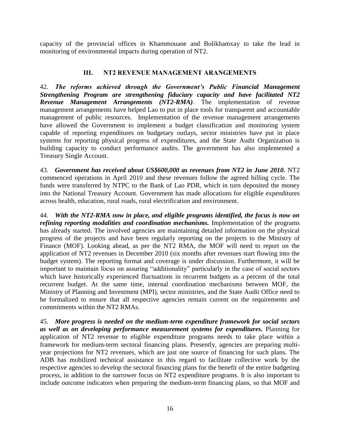<span id="page-18-0"></span>capacity of the provincial offices in Khammouane and Bolikhamxay to take the lead in monitoring of environmental impacts during operation of NT2.

## **III. NT2 REVENUE MANAGEMENT ARANGEMENTS**

<span id="page-18-1"></span>42. *The reforms achieved through the Government's Public Financial Management Strengthening Program are strengthening fiduciary capacity and have facilitated NT2 Revenue Management Arrangements (NT2-RMA)*. The implementation of revenue management arrangements have helped Lao to put in place tools for transparent and accountable management of public resources. Implementation of the revenue management arrangements have allowed the Government to implement a budget classification and monitoring system capable of reporting expenditures on budgetary outlays, sector ministries have put in place systems for reporting physical progress of expenditures, and the State Audit Organization is building capacity to conduct performance audits. The government has also implemented a Treasury Single Account.

43. *Government has received about US\$600,000 as revenues from NT2 in June 2010.* NT2 commenced operations in April 2010 and these revenues follow the agreed billing cycle. The funds were transferred by NTPC to the Bank of Lao PDR, which in turn deposited the money into the National Treasury Account. Government has made allocations for eligible expenditures across health, education, rural roads, rural electrification and environment.

44. *With the NT2-RMA now in place, and eligible programs identified, the focus is now on refining reporting modalities and coordination mechanisms.* Implementation of the programs has already started. The involved agencies are maintaining detailed information on the physical progress of the projects and have been regularly reporting on the projects to the Ministry of Finance (MOF). Looking ahead, as per the NT2 RMA, the MOF will need to report on the application of NT2 revenues in December 2010 (six months after revenues start flowing into the budget system). The reporting format and coverage is under discussion. Furthermore, it will be important to maintain focus on assuring "additionality" particularly in the case of social sectors which have historically experienced fluctuations in recurrent budgets as a percent of the total recurrent budget. At the same time, internal coordination mechanisms between MOF, the Ministry of Planning and Investment (MPI), sector ministries, and the State Audit Office need to be formalized to ensure that all respective agencies remain current on the requirements and commitments within the NT2 RMAs.

45. *More progress is needed on the medium-term expenditure framework for social sectors as well as on developing performance measurement systems for expenditures.* Planning for application of NT2 revenue to eligible expenditure programs needs to take place within a framework for medium-term sectoral financing plans. Presently, agencies are preparing multiyear projections for NT2 revenues, which are just one source of financing for such plans. The ADB has mobilized technical assistance in this regard to facilitate collective work by the respective agencies to develop the sectoral financing plans for the benefit of the entire budgeting process, in addition to the narrower focus on NT2 expenditure programs. It is also important to include outcome indicators when preparing the medium-term financing plans, so that MOF and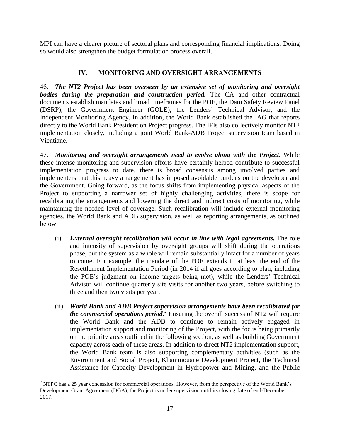MPI can have a clearer picture of sectoral plans and corresponding financial implications. Doing so would also strengthen the budget formulation process overall.

# **IV. MONITORING AND OVERSIGHT ARRANGEMENTS**

46. *The NT2 Project has been overseen by an extensive set of monitoring and oversight*  **bodies during the preparation and construction period.** The CA and other contractual documents establish mandates and broad timeframes for the POE, the Dam Safety Review Panel (DSRP), the Government Engineer (GOLE), the Lenders' Technical Advisor, and the Independent Monitoring Agency. In addition, the World Bank established the IAG that reports directly to the World Bank President on Project progress. The IFIs also collectively monitor NT2 implementation closely, including a joint World Bank-ADB Project supervision team based in Vientiane.

47. *Monitoring and oversight arrangements need to evolve along with the Project.* While these intense monitoring and supervision efforts have certainly helped contribute to successful implementation progress to date, there is broad consensus among involved parties and implementers that this heavy arrangement has imposed avoidable burdens on the developer and the Government. Going forward, as the focus shifts from implementing physical aspects of the Project to supporting a narrower set of highly challenging activities, there is scope for recalibrating the arrangements and lowering the direct and indirect costs of monitoring, while maintaining the needed level of coverage. Such recalibration will include external monitoring agencies, the World Bank and ADB supervision, as well as reporting arrangements, as outlined below.

- (i) *External oversight recalibration will occur in line with legal agreements.* The role and intensity of supervision by oversight groups will shift during the operations phase, but the system as a whole will remain substantially intact for a number of years to come. For example, the mandate of the POE extends to at least the end of the Resettlement Implementation Period (in 2014 if all goes according to plan, including the POE's judgment on income targets being met), while the Lenders' Technical Advisor will continue quarterly site visits for another two years, before switching to three and then two visits per year.
- (ii) *World Bank and ADB Project supervision arrangements have been recalibrated for the commercial operations period.*<sup>2</sup> Ensuring the overall success of NT2 will require the World Bank and the ADB to continue to remain actively engaged in implementation support and monitoring of the Project, with the focus being primarily on the priority areas outlined in the following section, as well as building Government capacity across each of these areas. In addition to direct NT2 implementation support, the World Bank team is also supporting complementary activities (such as the Environment and Social Project, Khammouane Development Project, the Technical Assistance for Capacity Development in Hydropower and Mining, and the Public

 $\overline{a}$ <sup>2</sup> NTPC has a 25 year concession for commercial operations. However, from the perspective of the World Bank's Development Grant Agreement (DGA), the Project is under supervision until its closing date of end-December 2017.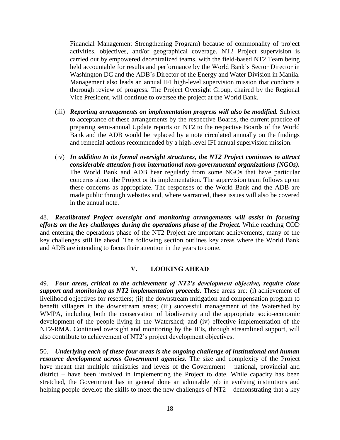Financial Management Strengthening Program) because of commonality of project activities, objectives, and/or geographical coverage. NT2 Project supervision is carried out by empowered decentralized teams, with the field-based NT2 Team being held accountable for results and performance by the World Bank's Sector Director in Washington DC and the ADB's Director of the Energy and Water Division in Manila. Management also leads an annual IFI high-level supervision mission that conducts a thorough review of progress. The Project Oversight Group, chaired by the Regional Vice President, will continue to oversee the project at the World Bank.

- (iii) *Reporting arrangements on implementation progress will also be modified.* Subject to acceptance of these arrangements by the respective Boards, the current practice of preparing semi-annual Update reports on NT2 to the respective Boards of the World Bank and the ADB would be replaced by a note circulated annually on the findings and remedial actions recommended by a high-level IFI annual supervision mission.
- (iv) *In addition to its formal oversight structures, the NT2 Project continues to attract considerable attention from international non-governmental organizations (NGOs).* The World Bank and ADB hear regularly from some NGOs that have particular concerns about the Project or its implementation. The supervision team follows up on these concerns as appropriate. The responses of the World Bank and the ADB are made public through websites and, where warranted, these issues will also be covered in the annual note.

48. *Recalibrated Project oversight and monitoring arrangements will assist in focusing efforts on the key challenges during the operations phase of the Project.* While reaching COD and entering the operations phase of the NT2 Project are important achievements, many of the key challenges still lie ahead. The following section outlines key areas where the World Bank and ADB are intending to focus their attention in the years to come.

## **V. LOOKING AHEAD**

<span id="page-20-0"></span>49. *Four areas, critical to the achievement of NT2's development objective, require close support and monitoring as NT2 implementation proceeds.* These areas are*:* (i) achievement of livelihood objectives for resettlers; (ii) the downstream mitigation and compensation program to benefit villagers in the downstream areas; (iii) successful management of the Watershed by WMPA, including both the conservation of biodiversity and the appropriate socio-economic development of the people living in the Watershed; and (iv) effective implementation of the NT2-RMA. Continued oversight and monitoring by the IFIs, through streamlined support, will also contribute to achievement of NT2's project development objectives.

50. *Underlying each of these four areas is the ongoing challenge of institutional and human resource development across Government agencies.* The size and complexity of the Project have meant that multiple ministries and levels of the Government – national, provincial and district – have been involved in implementing the Project to date. While capacity has been stretched, the Government has in general done an admirable job in evolving institutions and helping people develop the skills to meet the new challenges of NT2 – demonstrating that a key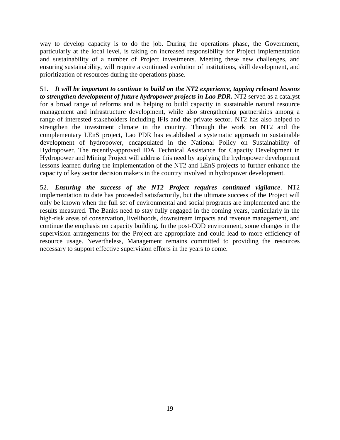way to develop capacity is to do the job. During the operations phase, the Government, particularly at the local level, is taking on increased responsibility for Project implementation and sustainability of a number of Project investments. Meeting these new challenges, and ensuring sustainability, will require a continued evolution of institutions, skill development, and prioritization of resources during the operations phase.

51. *It will be important to continue to build on the NT2 experience, tapping relevant lessons to strengthen development of future hydropower projects in Lao PDR***.** NT2 served as a catalyst for a broad range of reforms and is helping to build capacity in sustainable natural resource management and infrastructure development, while also strengthening partnerships among a range of interested stakeholders including IFIs and the private sector. NT2 has also helped to strengthen the investment climate in the country. Through the work on NT2 and the complementary LEnS project, Lao PDR has established a systematic approach to sustainable development of hydropower, encapsulated in the National Policy on Sustainability of Hydropower. The recently-approved IDA Technical Assistance for Capacity Development in Hydropower and Mining Project will address this need by applying the hydropower development lessons learned during the implementation of the NT2 and LEnS projects to further enhance the capacity of key sector decision makers in the country involved in hydropower development.

52. *Ensuring the success of the NT2 Project requires continued vigilance*. NT2 implementation to date has proceeded satisfactorily, but the ultimate success of the Project will only be known when the full set of environmental and social programs are implemented and the results measured. The Banks need to stay fully engaged in the coming years, particularly in the high-risk areas of conservation, livelihoods, downstream impacts and revenue management, and continue the emphasis on capacity building. In the post-COD environment, some changes in the supervision arrangements for the Project are appropriate and could lead to more efficiency of resource usage. Nevertheless, Management remains committed to providing the resources necessary to support effective supervision efforts in the years to come.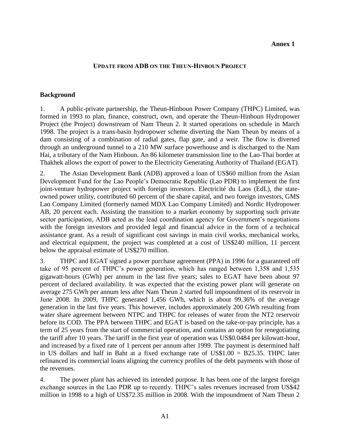#### **Annex 1**

#### **UPDATE FROM ADB ON THE THEUN-HINBOUN PROJECT**

#### **Background**

1. A public-private partnership, the Theun-Hinboun Power Company (THPC) Limited, was formed in 1993 to plan, finance, construct, own, and operate the Theun-Hinboun Hydropower Project (the Project) downstream of Nam Theun 2. It started operations on schedule in March 1998. The project is a trans-basin hydropower scheme diverting the Nam Theun by means of a dam consisting of a combination of radial gates, flap gate, and a weir. The flow is diverted through an underground tunnel to a 210 MW surface powerhouse and is discharged to the Nam Hai, a tributary of the Nam Hinboun. An 86 kilometer transmission line to the Lao-Thai border at Thakhek allows the export of power to the Electricity Generating Authority of Thailand (EGAT).

2. The Asian Development Bank (ADB) approved a loan of US\$60 million from the Asian Development Fund for the Lao People's Democratic Republic (Lao PDR) to implement the first joint-venture hydropower project with foreign investors. Electricité du Laos (EdL), the stateowned power utility, contributed 60 percent of the share capital, and two foreign investors, GMS Lao Company Limited (formerly named MDX Lao Company Limited) and Nordic Hydropower AB, 20 percent each. Assisting the transition to a market economy by supporting such private sector participation, ADB acted as the lead coordination agency for Government's negotiations with the foreign investors and provided legal and financial advice in the form of a technical assistance grant. As a result of significant cost savings in main civil works, mechanical works, and electrical equipment, the project was completed at a cost of US\$240 million, 11 percent below the appraisal estimate of US\$270 million.

3. THPC and EGAT signed a power purchase agreement (PPA) in 1996 for a guaranteed off take of 95 percent of THPC's power generation, which has ranged between 1,358 and 1,535 gigawatt-hours (GWh) per annum in the last five years; sales to EGAT have been about 97 percent of declared availability. It was expected that the existing power plant will generate on average 275 GWh per annum less after Nam Theun 2 started full impoundment of its reservoir in June 2008. In 2009, THPC generated 1,456 GWh, which is about 99.36% of the average generation in the last five years. This however, includes approximately 200 GWh resulting from water share agreement between NTPC and THPC for releases of water from the NT2 reservoir before its COD. The PPA between THPC and EGAT is based on the take-or-pay principle, has a term of 25 years from the start of commercial operation, and contains an option for renegotiating the tariff after 10 years. The tariff in the first year of operation was US\$0.0484 per kilowatt-hour, and increased by a fixed rate of 1 percent per annum after 1999. The payment is determined half in US dollars and half in Baht at a fixed exchange rate of US\$1.00 = B25.35. THPC later refinanced its commercial loans aligning the currency profiles of the debt payments with those of the revenues.

4. The power plant has achieved its intended purpose. It has been one of the largest foreign exchange sources in the Lao PDR up to recently. THPC's sales revenues increased from US\$42 million in 1998 to a high of US\$72.35 million in 2008. With the impoundment of Nam Theun 2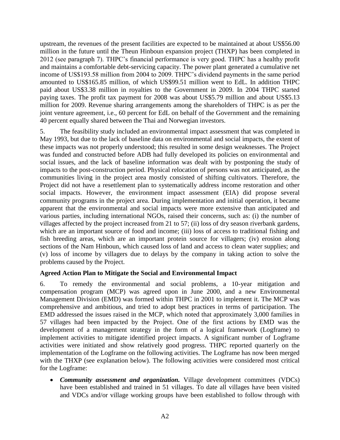upstream, the revenues of the present facilities are expected to be maintained at about US\$56.00 million in the future until the Theun Hinboun expansion project (THXP) has been completed in 2012 (see paragraph 7). THPC's financial performance is very good. THPC has a healthy profit and maintains a comfortable debt-servicing capacity. The power plant generated a cumulative net income of US\$193.58 million from 2004 to 2009. THPC's dividend payments in the same period amounted to US\$165.85 million, of which US\$99.51 million went to EdL. In addition THPC paid about US\$3.38 million in royalties to the Government in 2009. In 2004 THPC started paying taxes. The profit tax payment for 2008 was about US\$5.79 million and about US\$5.13 million for 2009. Revenue sharing arrangements among the shareholders of THPC is as per the joint venture agreement, i.e., 60 percent for EdL on behalf of the Government and the remaining 40 percent equally shared between the Thai and Norwegian investors.

5. The feasibility study included an environmental impact assessment that was completed in May 1993, but due to the lack of baseline data on environmental and social impacts, the extent of these impacts was not properly understood; this resulted in some design weaknesses. The Project was funded and constructed before ADB had fully developed its policies on environmental and social issues, and the lack of baseline information was dealt with by postponing the study of impacts to the post-construction period. Physical relocation of persons was not anticipated, as the communities living in the project area mostly consisted of shifting cultivators. Therefore, the Project did not have a resettlement plan to systematically address income restoration and other social impacts. However, the environment impact assessment (EIA) did propose several community programs in the project area. During implementation and initial operation, it became apparent that the environmental and social impacts were more extensive than anticipated and various parties, including international NGOs, raised their concerns, such as: (i) the number of villages affected by the project increased from 21 to 57; (ii) loss of dry season riverbank gardens, which are an important source of food and income; (iii) loss of access to traditional fishing and fish breeding areas, which are an important protein source for villagers; (iv) erosion along sections of the Nam Hinboun, which caused loss of land and access to clean water supplies; and (v) loss of income by villagers due to delays by the company in taking action to solve the problems caused by the Project.

#### **Agreed Action Plan to Mitigate the Social and Environmental Impact**

6. To remedy the environmental and social problems, a 10-year mitigation and compensation program (MCP) was agreed upon in June 2000, and a new Environmental Management Division (EMD) was formed within THPC in 2001 to implement it. The MCP was comprehensive and ambitious, and tried to adopt best practices in terms of participation. The EMD addressed the issues raised in the MCP, which noted that approximately 3,000 families in 57 villages had been impacted by the Project. One of the first actions by EMD was the development of a management strategy in the form of a logical framework (Logframe) to implement activities to mitigate identified project impacts. A significant number of Logframe activities were initiated and show relatively good progress. THPC reported quarterly on the implementation of the Logframe on the following activities. The Logframe has now been merged with the THXP (see explanation below). The following activities were considered most critical for the Logframe:

 *Community assessment and organization.* Village development committees (VDCs) have been established and trained in 51 villages. To date all villages have been visited and VDCs and/or village working groups have been established to follow through with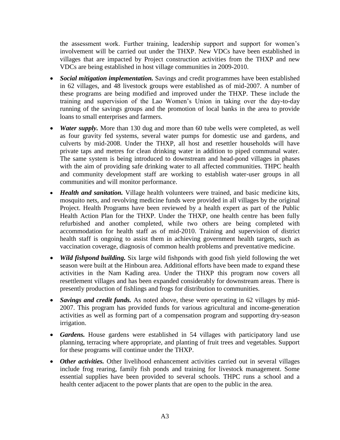the assessment work. Further training, leadership support and support for women's involvement will be carried out under the THXP. New VDCs have been established in villages that are impacted by Project construction activities from the THXP and new VDCs are being established in host village communities in 2009-2010.

- *Social mitigation implementation.* Savings and credit programmes have been established in 62 villages, and 48 livestock groups were established as of mid-2007. A number of these programs are being modified and improved under the THXP. These include the training and supervision of the Lao Women's Union in taking over the day-to-day running of the savings groups and the promotion of local banks in the area to provide loans to small enterprises and farmers.
- *Water supply.* More than 130 dug and more than 60 tube wells were completed, as well as four gravity fed systems, several water pumps for domestic use and gardens, and culverts by mid-2008. Under the THXP, all host and resettler households will have private taps and metres for clean drinking water in addition to piped communal water. The same system is being introduced to downstream and head-pond villages in phases with the aim of providing safe drinking water to all affected communities. THPC health and community development staff are working to establish water-user groups in all communities and will monitor performance.
- *Health and sanitation.* Village health volunteers were trained, and basic medicine kits, mosquito nets, and revolving medicine funds were provided in all villages by the original Project. Health Programs have been reviewed by a health expert as part of the Public Health Action Plan for the THXP. Under the THXP, one health centre has been fully refurbished and another completed, while two others are being completed with accommodation for health staff as of mid-2010. Training and supervision of district health staff is ongoing to assist them in achieving government health targets, such as vaccination coverage, diagnosis of common health problems and preventative medicine.
- *Wild fishpond building.* Six large wild fishponds with good fish yield following the wet season were built at the Hinboun area. Additional efforts have been made to expand these activities in the Nam Kading area. Under the THXP this program now covers all resettlement villages and has been expanded considerably for downstream areas. There is presently production of fishlings and frogs for distribution to communities.
- *Savings and credit funds*. As noted above, these were operating in 62 villages by mid-2007. This program has provided funds for various agricultural and income-generation activities as well as forming part of a compensation program and supporting dry-season irrigation.
- *Gardens.* House gardens were established in 54 villages with participatory land use planning, terracing where appropriate, and planting of fruit trees and vegetables. Support for these programs will continue under the THXP.
- Other activities. Other livelihood enhancement activities carried out in several villages include frog rearing, family fish ponds and training for livestock management. Some essential supplies have been provided to several schools. THPC runs a school and a health center adjacent to the power plants that are open to the public in the area.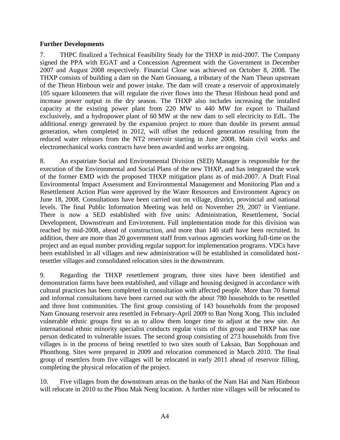#### **Further Developments**

7. THPC finalized a Technical Feasibility Study for the THXP in mid-2007. The Company signed the PPA with EGAT and a Concession Agreement with the Government in December 2007 and August 2008 respectively. Financial Close was achieved on October 8, 2008. The THXP consists of building a dam on the Nam Gnouang, a tributary of the Nam Theun upstream of the Theun Hinboun weir and power intake. The dam will create a reservoir of approximately 105 square kilometers that will regulate the river flows into the Theun Hinboun head pond and increase power output in the dry season. The THXP also includes increasing the installed capacity at the existing power plant from 220 MW to 440 MW for export to Thailand exclusively, and a hydropower plant of 60 MW at the new dam to sell electricity to EdL. The additional energy generated by the expansion project to more than double its present annual generation, when completed in 2012, will offset the reduced generation resulting from the reduced water releases from the NT2 reservoir starting in June 2008. Main civil works and electromechanical works contracts have been awarded and works are ongoing.

8. An expatriate Social and Environmental Division (SED) Manager is responsible for the execution of the Environmental and Social Plans of the new THXP, and has integrated the work of the former EMD with the proposed THXP mitigation plans as of mid-2007. A Draft Final Environmental Impact Assessment and Environmental Management and Monitoring Plan and a Resettlement Action Plan were approved by the Water Resources and Environment Agency on June 18, 2008. Consultations have been carried out on village, district, provincial and national levels. The final Public Information Meeting was held on November 29, 2007 in Vientiane. There is now a SED established with five units: Administration, Resettlement, Social Development, Downstream and Environment. Full implementation mode for this division was reached by mid-2008, ahead of construction, and more than 140 staff have been recruited. In addition, there are more than 20 government staff from various agencies working full-time on the project and an equal number providing regular support for implementation programs. VDCs have been established in all villages and new administration will be established in consolidated hostresettler villages and consolidated relocation sites in the downstream.

9. Regarding the THXP resettlement program, three sites have been identified and demonstration farms have been established, and village and housing designed in accordance with cultural practices has been completed in consultation with affected people. More than 70 formal and informal consultations have been carried out with the about 780 households to be resettled and three host communities. The first group consisting of 143 households from the proposed Nam Gnouang reservoir area resettled in February-April 2009 to Ban Nong Xong. This included vulnerable ethnic groups first so as to allow them longer time to adjust at the new site. An international ethnic minority specialist conducts regular visits of this group and THXP has one person dedicated to vulnerable issues. The second group consisting of 273 households from five villages is in the process of being resettled to two sites south of Laksao, Ban Sopphouan and Phonthong. Sites were prepared in 2009 and relocation commenced in March 2010. The final group of resettlers from five villages will be relocated in early 2011 ahead of reservoir filling, completing the physical relocation of the project.

10. Five villages from the downstream areas on the banks of the Nam Hai and Nam Hinboun will relocate in 2010 to the Phou Mak Neng location. A further nine villages will be relocated to